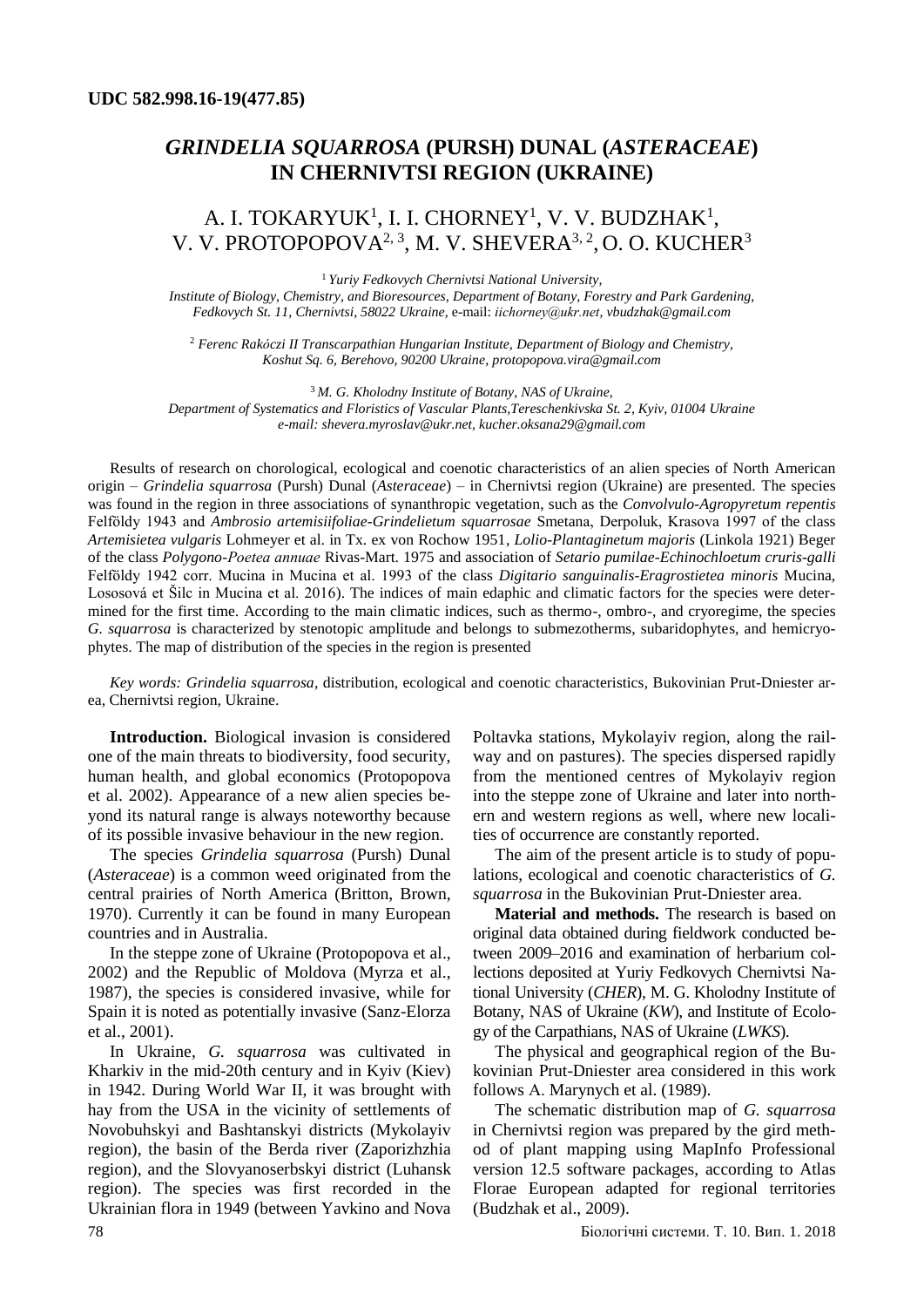# *GRINDELIA SQUARROSA* **(PURSH) DUNAL (***ASTERACEAE***) IN CHERNIVTSI REGION (UKRAINE)**

# A. I. TOKARYUK<sup>1</sup>, I. I. CHORNEY<sup>1</sup>, V. V. BUDZHAK<sup>1</sup>, V. V. PROTOPOPOVA<sup>2, 3</sup>, M. V. SHEVERA<sup>3, 2</sup>, O. O. KUCHER<sup>3</sup>

<sup>1</sup>*Yuriy Fedkovych Chernivtsi National University,*

*Institute of Biology, Chemistry, and Bioresources, Department of Botany, Forestry and Park Gardening, Fedkovych St. 11, Chernivtsi, 58022 Ukraine,* e-mail: *[іісhorney@ukr.net](mailto:іісhorney@ukr.net)*, *[vbudzhak@gmail.com](mailto:vbudzhak@gmail.com)*

<sup>2</sup> *Ferenc Rakóczi II Transcarpathian Hungarian Institute, Department of Biology and Chemistry, Koshut Sq. 6, Berehovo, 90200 Ukraine, protopopova.vira@gmail.com*

<sup>3</sup>*M. G. Kholodny Institute of Botany, NAS of Ukraine, Department of Systematics and Floristics of Vascular Plants,Tereschenkivska St. 2, Kyiv, 01004 Ukraine e-mail[: shevera.myroslav@ukr.net,](mailto:shevera.myroslav@ukr.net) [kucher.oksana29@gmail.com](mailto:kucher.oksana29@gmail.com)*

Results of research on chorological, ecological and coenotic characteristics of an alien species of North American origin – *Grindelia squarrosa* (Pursh) Dunal (*Asteraceae*) – in Chernivtsi region (Ukraine) are presented. The species was found in the region in three associations of synanthropic vegetation, such as the *Convolvulo-Agropyretum repentis* Felföldy 1943 and *Ambrosio artemisiifoliae-Grindelietum squarrosae* Smetana, Derpoluk, Krasоva 1997 of the class *Artemisietea vulgaris* Lohmeyer et al. in Tx. ex von Rochow 1951, *Lolio-Plantaginetum majoris* (Linkola 1921) Beger of the class *Polygono-Poеtea annuae* Rivas-Mart. 1975 and association of *Setario pumilae-Echinochloetum cruris-galli* Felföldy 1942 corr. Mucina in Mucina et al. 1993 of the class *Digitario sanguinalis-Eragrostietea minoris* Mucina, Lososová et Šilc in Mucina et al. 2016). The indices of main edaphic and climatic factors for the species were determined for the first time. According to the main climatic indices, such as thermo-, ombro-, and cryoregime, the species *G. squarrosa* is characterized by stenotopic amplitude and belongs to submezotherms, subaridophytes, and hemicryophytes. The map of distribution of the species in the region is presented

*Key words: Grindelia squarrosa*, distribution, ecological and coenotic characteristics*,* Bukovinian Prut-Dniester area, Chernivtsi region, Ukraine.

**Introduction.** Biological invasion is considered one of the main threats to biodiversity, food security, human health, and global economics (Protopopova et al. 2002). Appearance of a new alien species beyond its natural range is always noteworthy because of its possible invasive behaviour in the new region.

The species *Grindelia squarrosa* (Pursh) Dunal (*Asteraceae*) is a common weed originated from the central prairies of North America (Britton, Brown, 1970). Currently it can be found in many European countries and in Australia.

In the steppe zone of Ukraine (Protopopova et al., 2002) and the Republic of Moldova (Myrza et al., 1987), the species is considered invasive, while for Spain it is noted as potentially invasive (Sanz-Elorza et al., 2001).

In Ukraine, *G. squarrosa* was cultivated in Kharkiv in the mid-20th century and in Kyiv (Kiev) in 1942. During World War II, it was brought with hay from the USA in the vicinity of settlements of Novobuhskyi and Bashtanskyi districts (Mykolayiv region), the basin of the Berda river (Zaporizhzhia region), and the Slovyanoserbskyi district (Luhansk region). The species was first recorded in the Ukrainian flora in 1949 (between Yavkino and Nova

Poltavka stations, Mykolayiv region, along the railway and on pastures). The species dispersed rapidly from the mentioned centres of Mykolayiv region into the steppe zone of Ukraine and later into northern and western regions as well, where new localities of occurrence are constantly reported.

The aim of the present article is to study of populations, ecological and coenotic characteristics of *G. squarrosa* in the Bukovinian Prut-Dniester area.

**Material and methods.** The research is based on original data obtained during fieldwork conducted between 2009–2016 and examination of herbarium collections deposited at Yuriy Fedkovych Chernivtsi National University (*CHER*), M. G. Kholodny Institute of Botany, NAS of Ukraine (*KW*), and Institute of Ecology of the Carpathians, NAS of Ukraine (*LWKS*).

The physical and geographical region of the Bukovinian Prut-Dniester area considered in this work follows А. Marynych et al. (1989).

The schematic distribution map of *G. squarrosa* in Chernivtsi region was prepared by the gird method of plant mapping using MapInfo Professional version 12.5 software packages, according to Atlas Florae European adapted for regional territories (Budzhak et al., 2009).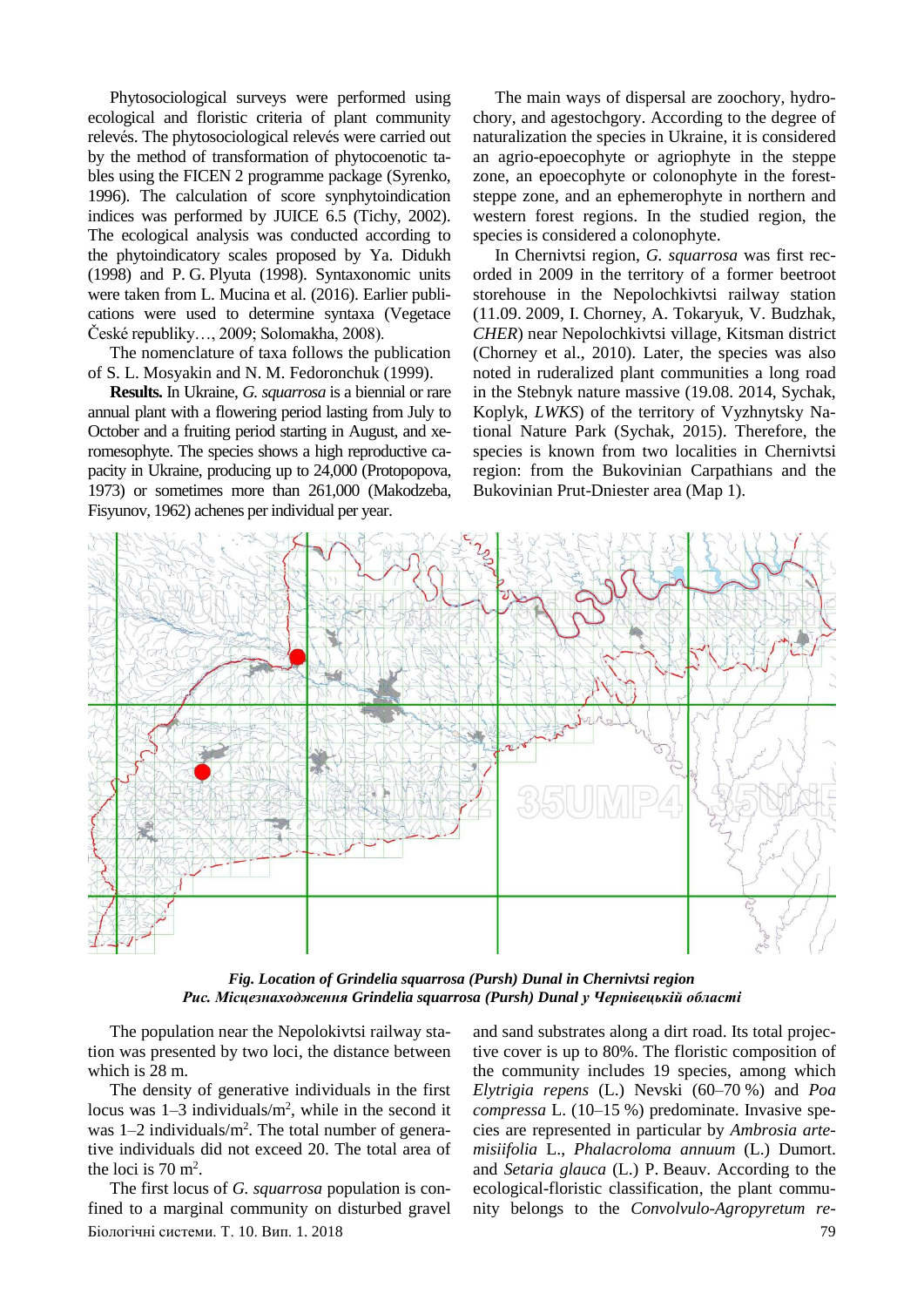Phytosociological surveys were performed using ecological and floristic criteria of plant community relevés. The phytosociological relevés were carried out by the method of transformation of phytocoenotic tables using the FICEN 2 programme package (Syrenko, 1996). The calculation of score synphytoindication indices was performed by JUICE 6.5 (Tichy, 2002). The ecological analysis was conducted according to the phytoindicatory scales proposed by Ya. Didukh (1998) and P. G. Plyuta (1998). Syntaxonomic units were taken from L. Mucina et al. (2016). Earlier publications were used to determine syntaxa (Vegetace České republiky…, 2009; Solomakha, 2008).

The nomenclature of taxa follows the publication of S. L. Mosyakin and N. M. Fedoronchuk (1999).

**Results.** In Ukraine, *G. squarrosa* is a biennial or rare annual plant with a flowering period lasting from July to October and a fruiting period starting in August, and xeromesophyte. The species shows a high reproductive capacity in Ukraine, producing up to 24,000 (Protopopova, 1973) or sometimes more than 261,000 (Makodzeba, Fisyunov, 1962) achenes per individual per year.

The main ways of dispersal are zoochory, hydrochory, and agestochgory. According to the degree of naturalization the species in Ukraine, it is considered an agrio-epoecophyte or agriophyte in the steppe zone, an epoecophyte or colonophyte in the foreststeppe zone, and an ephemerophyte in northern and western forest regions. In the studied region, the species is considered a colonophyte.

In Chernivtsi region, *G. squarrosa* was first recorded in 2009 in the territory of a former beetroot storehouse in the Nepolochkivtsi railway station (11.09. 2009, I. Chorney, A. Tokaryuk, V. Budzhak, *CHER*) near Nepolochkivtsi village, Kitsman district (Chorney et al., 2010). Later, the species was also noted in ruderalized plant communities a long road in the Stebnyk nature massive (19.08. 2014, Sychak, Koplyk, *LWKS*) of the territory of Vyzhnytsky National Nature Park (Sychak, 2015). Therefore, the species is known from two localities in Chernivtsi region: from the Bukovinian Carpathians and the Bukovinian Prut-Dniester area (Map 1).



*Fig. Location of Grindelia squarrosa (Pursh) Dunal in Chernivtsi region Рис. Місцезнаходження Grindelia squarrosa (Pursh) Dunal у Чернівецькій області*

The population near the Nepolokivtsi railway station was presented by two loci, the distance between which is 28 m.

The density of generative individuals in the first locus was 1–3 individuals/m<sup>2</sup>, while in the second it was  $1-2$  individuals/ $m^2$ . The total number of generative individuals did not exceed 20. The total area of the loci is  $70 \text{ m}^2$ .

Біологічні системи. Т. 10. Вип. 1. 2018 79 The first locus of *G. squarrosa* population is confined to a marginal community on disturbed gravel

and sand substrates along a dirt road. Its total projective cover is up to 80%. The floristic composition of the community includes 19 species, among which *Elytrigia repens* (L.) Nevski (60–70 %) and *Poa compressa* L. (10–15 %) predominate. Invasive species are represented in particular by *Ambrosia artemisiifolia* L., *Phalacroloma annuum* (L.) Dumort. and *Setaria glauca* (L.) P. Beauv. According to the ecological-floristic classification, the plant community belongs to the *Convolvulo-Agropyretum re-*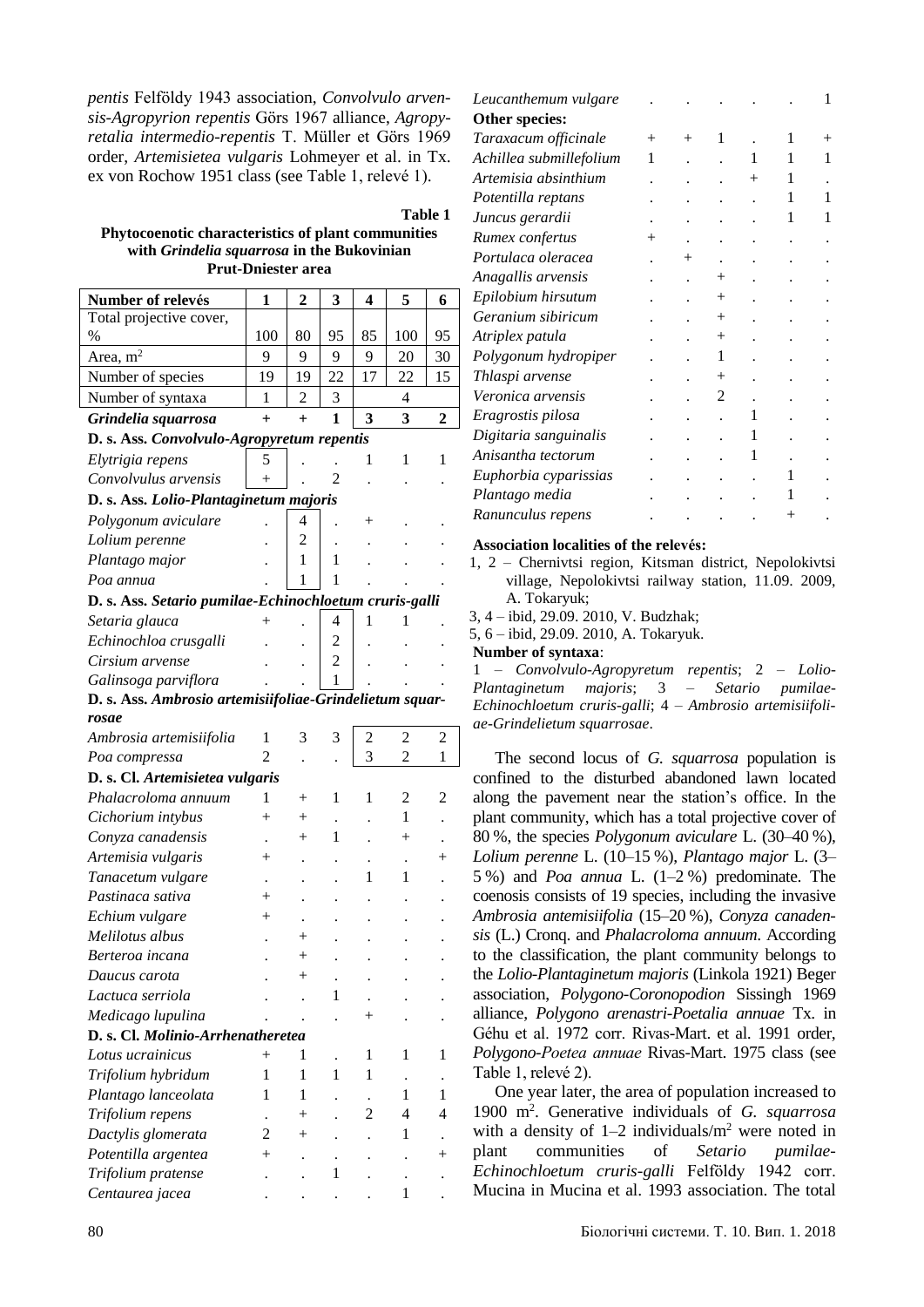*pentis* Felföldy 1943 association, *Convolvulo arvensis-Agropyrion repentis* Görs 1967 alliance, *Agropyretalia intermedio-repentis* T. Müller et Görs 1969 order, *Artemisietea vulgaris* Lohmeyer et al. in Tx. ex von Rochow 1951 class (see Table 1, relevé 1).

**Table 1**

## **Phytocoenotic characteristics of plant communities with** *Grindelia squarrosa* **in the Bukovinian Prut-Dniester area**

| Number of relevés                                       | 1              | 2                  | 3              | 4      | 5              | 6      |  |
|---------------------------------------------------------|----------------|--------------------|----------------|--------|----------------|--------|--|
| Total projective cover,                                 |                |                    |                |        |                |        |  |
| %                                                       | 100            | 80                 | 95             | 85     | 100            | 95     |  |
| Area, $m2$                                              | 9              | 9                  | 9              | 9      | 20             | 30     |  |
| Number of species                                       | 19             | 19                 | 22             | 17     | 22             | 15     |  |
| Number of syntaxa                                       | 1              | 2                  | 3              |        | 4              |        |  |
| Grindelia squarrosa                                     | $\ddot{}$      | $+$                | 1              | 3      | 3              | 2      |  |
| D. s. Ass. Convolvulo-Agropyretum repentis              |                |                    |                |        |                |        |  |
| Elytrigia repens                                        | 5              |                    |                | 1      | 1              | 1      |  |
| Convolvulus arvensis                                    |                |                    | 2              |        |                |        |  |
| D. s. Ass. Lolio-Plantaginetum majoris                  |                |                    |                |        |                |        |  |
| Polygonum aviculare                                     |                | 4                  |                | $^+$   |                |        |  |
| Lolium perenne                                          |                | 2                  |                |        |                |        |  |
| Plantago major                                          |                | 1                  | 1              |        |                |        |  |
| Poa annua                                               |                | 1                  | 1              |        |                |        |  |
| D. s. Ass. Setario pumilae-Echinochloetum cruris-galli  |                |                    |                |        |                |        |  |
| Setaria glauca                                          | $^{+}$         |                    | $\overline{4}$ | 1      | 1              |        |  |
| Echinochloa crusgalli                                   |                |                    | 2              |        |                |        |  |
| Cirsium arvense                                         |                |                    | $\overline{c}$ |        |                |        |  |
| Galinsoga parviflora                                    |                |                    | 1              |        |                |        |  |
| D. s. Ass. Ambrosio artemisiifoliae-Grindelietum squar- |                |                    |                |        |                |        |  |
| rosae                                                   |                |                    |                |        |                |        |  |
| Ambrosia artemisiifolia                                 | 1              | 3                  | 3              | 2      | 2              | 2      |  |
| Poa compressa                                           | 2              |                    |                | 3      | $\overline{c}$ | 1      |  |
| D. s. Cl. Artemisietea vulgaris                         |                |                    |                |        |                |        |  |
| Phalacroloma annuum                                     | 1              | $^+$               | 1              | 1      | 2              | 2      |  |
| Cichorium intybus                                       | $^{+}$         | $\overline{+}$     |                |        | 1              |        |  |
| Conyza canadensis                                       |                | $^+$               | 1              |        | $^{+}$         |        |  |
| Artemisia vulgaris                                      | $^{+}$         |                    |                |        |                | $\, +$ |  |
| Tanacetum vulgare                                       |                |                    |                | 1      | 1              |        |  |
| Pastinaca sativa                                        | $\overline{+}$ |                    |                |        |                |        |  |
| Echium vulgare                                          | $^+$           |                    |                |        |                |        |  |
| Melilotus albus                                         |                | $\! +$             |                |        |                |        |  |
| Berteroa incana                                         |                | $^+$               |                |        |                |        |  |
| Daucus carota                                           |                | $\hspace{0.1mm} +$ |                |        |                |        |  |
| Lactuca serriola                                        |                |                    | 1              |        |                |        |  |
| Medicago lupulina                                       |                |                    |                | $^{+}$ |                |        |  |
| D. s. Cl. Molinio-Arrhenatheretea                       |                |                    |                |        |                |        |  |
| Lotus ucrainicus                                        | $^{+}$         | 1                  |                | 1      | 1              | 1      |  |
| Trifolium hybridum                                      | 1              | 1                  | 1              | 1      |                |        |  |
| Plantago lanceolata                                     | 1              | 1                  |                |        | 1              | 1      |  |
| Trifolium repens                                        |                |                    |                | 2      | 4              | 4      |  |
| Dactylis glomerata                                      | 2              | ┿                  |                |        | 1              |        |  |
| Potentilla argentea                                     |                |                    |                |        |                |        |  |
| Trifolium pratense                                      |                |                    | 1              |        |                |        |  |
| Centaurea jacea                                         |                |                    |                |        | 1              |        |  |

| Leucanthemum vulgare    |        |                    |        |        |   |      |
|-------------------------|--------|--------------------|--------|--------|---|------|
| Other species:          |        |                    |        |        |   |      |
| Taraxacum officinale    | $^{+}$ | $^{+}$             | 1      |        | 1 | $^+$ |
| Achillea submillefolium | 1      |                    |        | 1      |   | 1    |
| Artemisia absinthium    |        |                    |        | $^{+}$ | 1 |      |
| Potentilla reptans      |        |                    |        |        | 1 | 1    |
| Juncus gerardii         |        |                    |        |        | 1 |      |
| Rumex confertus         |        |                    |        |        |   |      |
| Portulaca oleracea      |        | $\hspace{0.1mm} +$ |        |        |   |      |
| Anagallis arvensis      |        |                    | $^+$   |        |   |      |
| Epilobium hirsutum      |        |                    | $^{+}$ |        |   |      |
| Geranium sibiricum      |        |                    | $^{+}$ |        |   |      |
| Atriplex patula         |        |                    | $^{+}$ |        |   |      |
| Polygonum hydropiper    |        |                    | 1      |        |   |      |
| Thlaspi arvense         |        |                    | $^{+}$ |        |   |      |
| Veronica arvensis       |        |                    | 2      |        |   |      |
| Eragrostis pilosa       |        |                    |        | 1      |   |      |
| Digitaria sanguinalis   |        |                    |        | 1      |   |      |
| Anisantha tectorum      |        |                    |        | 1      |   |      |
| Euphorbia cyparissias   |        |                    |        |        | L |      |
| Plantago media          |        |                    |        |        |   |      |
| Ranunculus repens       |        |                    |        |        |   |      |
|                         |        |                    |        |        |   |      |

#### **Association localities of the relevés:**

1, 2 – Chernivtsi region, Kitsman district, Nepolokivtsi village, Nepolokivtsi railway station, 11.09. 2009, A. Tokaryuk;

3, 4 – ibid, 29.09. 2010, V. Budzhak;

5, 6 – ibid, 29.09. 2010, A. Tokaryuk.

**Number of syntaxa**:

1 – *Convolvulo-Agropyretum repentis*; 2 – *Lolio-Plantaginetum majoris*; 3 – *Setario pumilae-Echinochloetum cruris-galli*; 4 – *Ambrosio artemisiifoliae-Grindelietum squarrosae*.

The second locus of *G. squarrosa* population is confined to the disturbed abandoned lawn located along the pavement near the station's office. In the plant community, which has a total projective cover of 80 %, the species *Polygonum aviculare* L. (30–40 %), *Lolium perenne* L. (10–15 %), *Plantago major* L. (3– 5 %) and *Poa annua* L. (1–2 %) predominate. The coenosis consists of 19 species, including the invasive *Ambrosia antemisiifolia* (15–20 %), *Conyza canadensis* (L.) Cronq. and *Phalacroloma annuum*. According to the classification, the plant community belongs to the *Lolio-Plantaginetum majoris* (Linkola 1921) Beger association, *Polygono-Coronopodion* Sissingh 1969 alliance, *Polygono arenastri-Poetalia annuae* Tx. in Géhu et al. 1972 corr. Rivas-Mart. et al. 1991 order, *Polygono-Poеtea annuae* Rivas-Mart. 1975 class (see Table 1, relevé 2).

One year later, the area of population increased to 1900 m<sup>2</sup> . Generative individuals of *G. squarrosa* with a density of  $1-2$  individuals/ $m<sup>2</sup>$  were noted in plant communities of *Setario pumilae-Echinochloetum cruris-galli* Felföldy 1942 corr. Mucina in Mucina et al. 1993 association. The total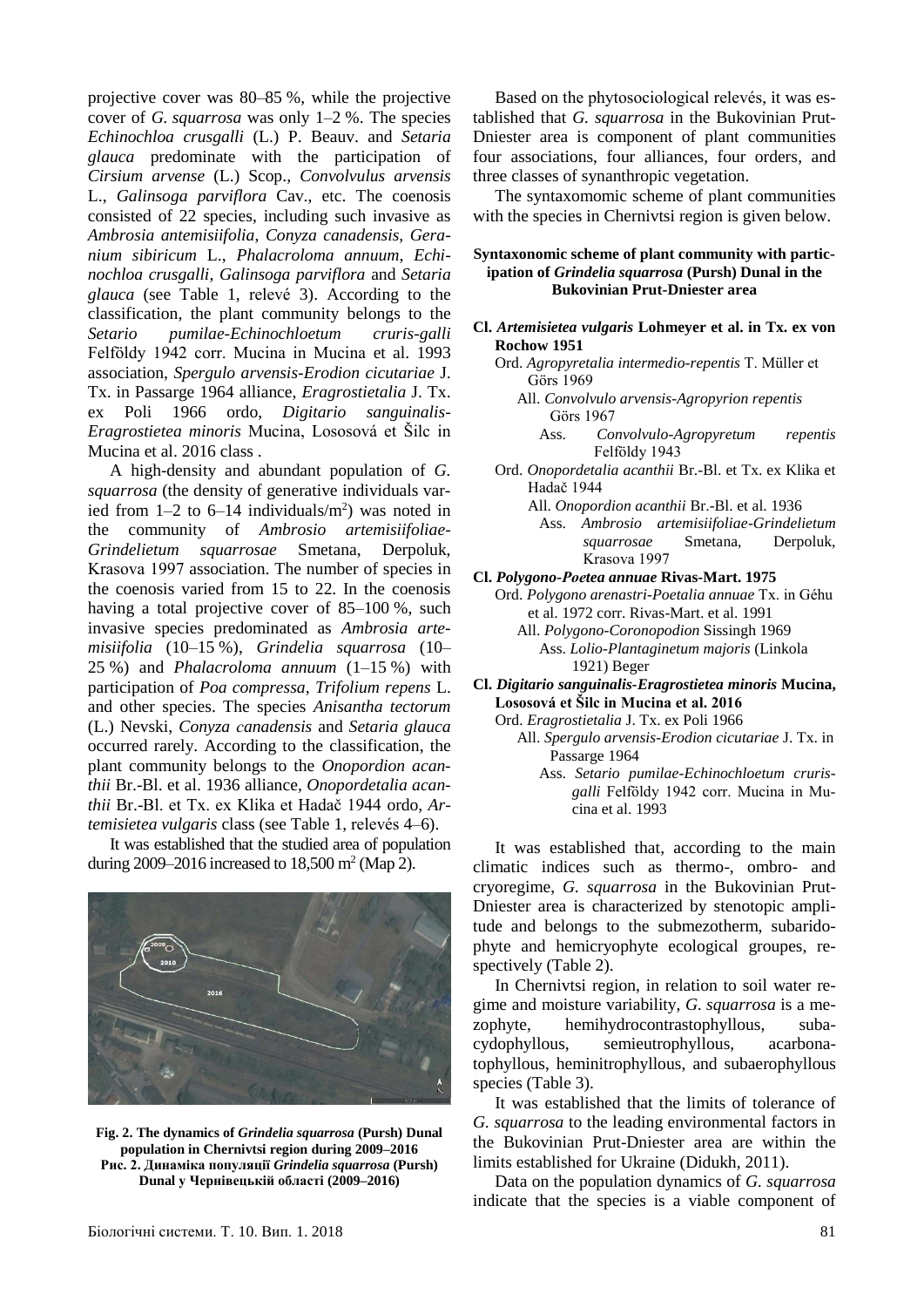projective cover was 80–85 %, while the projective cover of *G. squarrosa* was only 1–2 %. The species *Echinochloa crusgalli* (L.) P. Beauv. and *Setaria glauca* predominate with the participation of *Cirsium arvense* (L.) Scop., *Convolvulus arvensis*  L., *Galinsoga parviflora* Cav., etc. The coenosis consisted of 22 species, including such invasive as *Ambrosia antemisiifolia*, *Conyza canadensis*, *Geranium sibiricum* L., *Phalacroloma annuum*, *Echinochloa crusgalli*, *Galinsoga parviflora* and *Setaria glauca* (see Table 1, relevé 3). According to the classification, the plant community belongs to the *Setario pumilae-Echinochloetum cruris-galli* Felföldy 1942 corr. Mucina in Mucina et al. 1993 association, *Spergulo arvensis-Erodion cicutariae* J. Tx. in Passarge 1964 alliance, *Eragrostietalia* J. Tx. ex Poli 1966 ordo, *Digitario sanguinalis-Eragrostietea minoris* Mucina, Lososová et Šilc in Mucina et al. 2016 class .

A high-density and abundant population of *G. squarrosa* (the density of generative individuals varied from  $1-2$  to  $6-14$  individuals/m<sup>2</sup>) was noted in the community of *Ambrosio artemisiifoliae-Grindelietum squarrosae* Smetana, Derpoluk, Krasоva 1997 association. The number of species in the coenosis varied from 15 to 22. In the coenosis having a total projective cover of 85–100 %, such invasive species predominated as *Ambrosia artemisiifolia* (10–15 %), *Grindelia squarrosa* (10– 25 %) and *Phalacroloma annuum* (1–15 %) with participation of *Poa compressa*, *Trifolium repens* L. and other species. The species *Anisantha tectorum*  (L.) Nevski, *Conyza сanadensis* and *Setaria glauca* occurred rarely. According to the classification, the plant community belongs to the *Onopordion acanthii* Br.-Bl. et al. 1936 alliance, *Onopordetalia acanthii* Br.-Bl. et Tx. ex Klika et Hadač 1944 ordo, *Artemisietea vulgaris* class (see Table 1, relevés 4–6).

It was established that the studied area of population during 2009–2016 increased to  $18,500$  m<sup>2</sup> (Map 2).



**Fig. 2. The dynamics of** *Grindelia squarrosa* **(Pursh) Dunal population in Chernivtsi region during 2009–2016 Рис. 2. Динаміка популяції** *Grindelia squarrosa* **(Pursh) Dunal у Чернівецькій області (2009–2016)**

Based on the phytosociological relevés, it was established that *G. squarrosa* in the Bukovinian Prut-Dniester area is component of plant communities four associations, four alliances, four orders, and three classes of synanthropic vegetation.

The syntaxomomic scheme of plant communities with the species in Chernivtsi region is given below.

#### **Syntaxonomic scheme of plant community with participation of** *Grindelia squarrosa* **(Pursh) Dunal in the Bukovinian Prut-Dniester area**

- **Cl.** *Artemisietea vulgaris* **Lohmeyer et al. in Tx. ex von Rochow 1951**
	- Ord. *Agropyretalia intermedio-repentis* T. Müller et Görs 1969
		- All. *Convolvulo arvensis-Agropyrion repentis* Görs 1967

Ass. *Convolvulo-Agropyretum repentis* Felföldy 1943

Ord. *Onopordetalia acanthii* Br.-Bl. et Tx. ex Klika et Hadač 1944

All. *Onopordion acanthii* Br.-Bl. et al. 1936

- Ass. *Ambrosio artemisiifoliae-Grindelietum squarrosae* Smetana, Derpoluk, Krasоva 1997
- **Cl.** *Polygono-Poеtea annuae* **Rivas-Mart. 1975** 
	- Ord. *Polygono arenastri-Poetalia annuae* Tx. in Géhu et al. 1972 corr. Rivas-Mart. et al. 1991

All. *Polygono-Coronopodion* Sissingh 1969 Ass. *Lolio-Plantaginetum majoris* (Linkola 1921) Beger

**Cl.** *Digitario sanguinalis-Eragrostietea minoris* **Mucina, Lososová et Šilc in Mucina et al. 2016**

Ord. *Eragrostietalia* J. Tx. ex Poli 1966

- All. *Spergulo arvensis-Erodion cicutariae* J. Tx. in Passarge 1964
	- Ass. *Setario pumilae-Echinochloetum crurisgalli* Felföldy 1942 corr. Mucina in Mucina et al. 1993

It was established that, according to the main climatic indices such as thermo-, ombro- and cryoregime, *G. squarrosa* in the Bukovinian Prut-Dniester area is characterized by stenotopic amplitude and belongs to the submezotherm, subaridophyte and hemicryophyte ecological groupes, respectively (Table 2).

In Chernivtsi region, in relation to soil water regime and moisture variability, *G. squarrosa* is a mezophyte, hemihydrocontrastophyllous, subacydophyllous, semieutrophyllous, acarbonatophyllous, heminitrophyllous, and subaerophyllous species (Table 3).

It was established that the limits of tolerance of *G. squarrosa* to the leading environmental factors in the Bukovinian Prut-Dniester area are within the limits established for Ukraine (Didukh, 2011).

Data on the population dynamics of *G. squarrosa* indicate that the species is a viable component of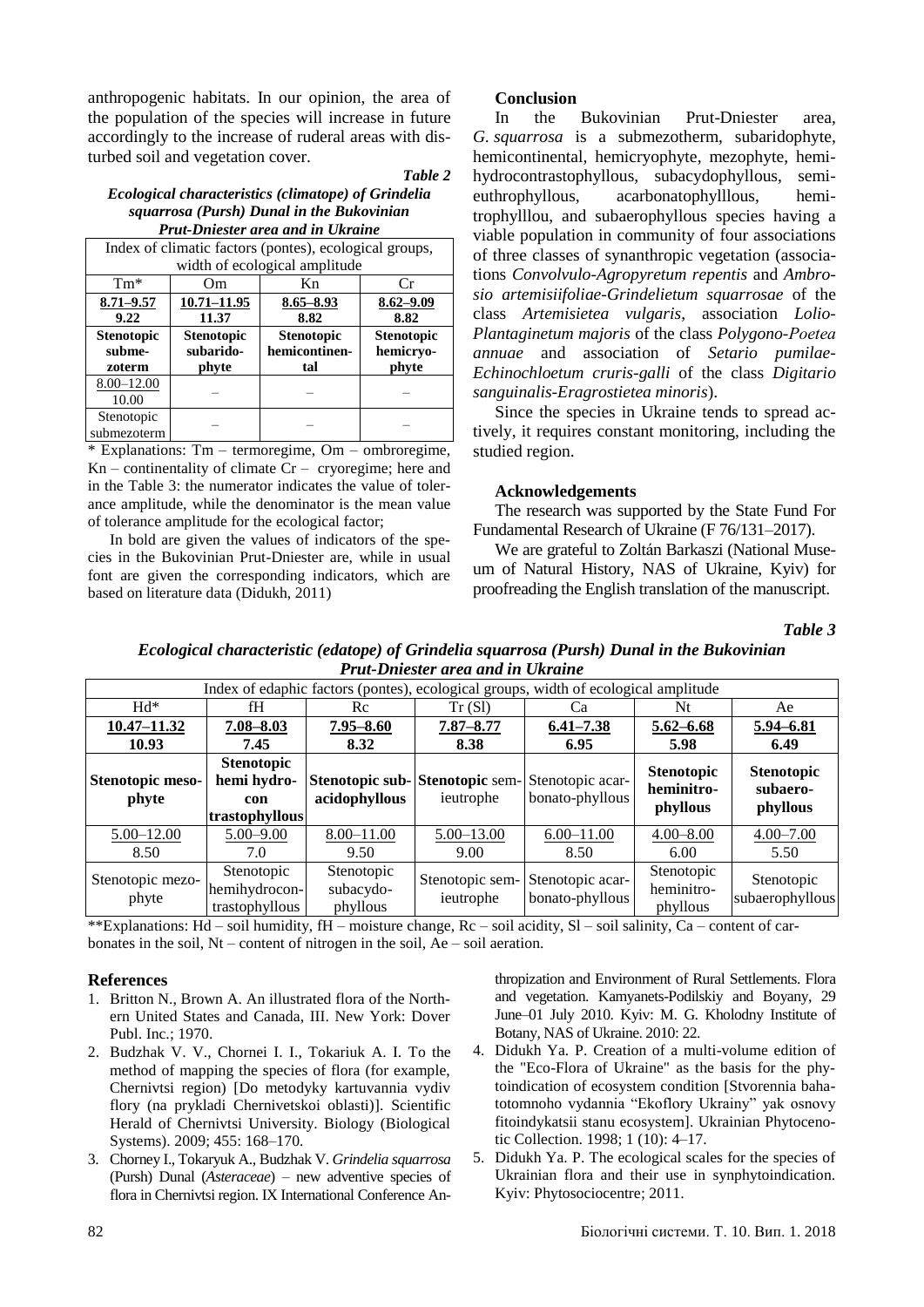anthropogenic habitats. In our opinion, the area of the population of the species will increase in future accordingly to the increase of ruderal areas with disturbed soil and vegetation cover.

### *Table 2*

#### *Ecological characteristics (climatope) of Grindelia squarrosa (Pursh) Dunal in the Bukovinian Prut-Dniester area and in Ukraine*

| Index of climatic factors (pontes), ecological groups, |                   |                   |                   |  |  |
|--------------------------------------------------------|-------------------|-------------------|-------------------|--|--|
| width of ecological amplitude                          |                   |                   |                   |  |  |
| $Tm*$                                                  | Om                | Kn                | Cr                |  |  |
| $8.71 - 9.57$                                          | $10.71 - 11.95$   | $8.65 - 8.93$     | $8.62 - 9.09$     |  |  |
| 9.22                                                   | 11.37             | 8.82              | 8.82              |  |  |
| <b>Stenotopic</b>                                      | <b>Stenotopic</b> | <b>Stenotopic</b> | <b>Stenotopic</b> |  |  |
| subme-                                                 | subarido-         | hemicontinen-     | hemicryo-         |  |  |
| zoterm                                                 | phyte             | tal               | phyte             |  |  |
| $8.00 - 12.00$                                         |                   |                   |                   |  |  |
| 10.00                                                  |                   |                   |                   |  |  |
| Stenotopic                                             |                   |                   |                   |  |  |
| submezoterm                                            |                   |                   |                   |  |  |

\* Explanations: Tm – termoregime, Om – ombroregime,  $Kn$  – continentality of climate  $Cr$  – cryoregime; here and in the Table 3: the numerator indicates the value of tolerance amplitude, while the denominator is the mean value of tolerance amplitude for the ecological factor;

In bold are given the values of indicators of the species in the Bukovinian Prut-Dniester are, while in usual font are given the corresponding indicators, which are based on literature data (Didukh, 2011)

# **Conclusion**

In the Bukovinian Prut-Dniester area, *G. squarrosa* is a submezotherm, subaridophyte, hemicontinental, hemicryophyte, mezophyte, hemihydrocontrastophyllous, subacydophyllous, semieuthrophyllous, acarbonatophylllous, hemitrophylllou, and subaerophyllous species having a viable population in community of four associations of three classes of synanthropic vegetation (associations *Convolvulo-Agropyretum repentis* and *Ambrosio artemisiifoliae-Grindelietum squarrosae* of the class *Artemisietea vulgaris*, association *Lolio-Plantaginetum majoris* of the class *Polygono-Poеtea annuae* and association of *Setario pumilae-Echinochloetum cruris-galli* of the class *Digitario sanguinalis-Eragrostietea minoris*).

Since the species in Ukraine tends to spread actively, it requires constant monitoring, including the studied region.

### **Acknowledgements**

The research was supported by the State Fund For Fundamental Research of Ukraine (F 76/131–2017).

We are grateful to Zoltán Barkaszi (National Museum of Natural History, NAS of Ukraine, Kyiv) for proofreading the English translation of the manuscript.

*Table 3*

*Ecological characteristic (edatope) of Grindelia squarrosa (Pursh) Dunal in the Bukovinian Prut-Dniester area and in Ukraine* 

| Index of edaphic factors (pontes), ecological groups, width of ecological amplitude |                                                           |                                     |                                                                     |                                     |                                             |                                                  |
|-------------------------------------------------------------------------------------|-----------------------------------------------------------|-------------------------------------|---------------------------------------------------------------------|-------------------------------------|---------------------------------------------|--------------------------------------------------|
| $Hd^*$                                                                              | fH                                                        | Rc                                  | Tr(Sl)                                                              | Ca                                  | Nt                                          | Ae                                               |
| $10.47 - 11.32$                                                                     | $7.08 - 8.03$                                             | $7.95 - 8.60$                       | $7.87 - 8.77$                                                       | $6.41 - 7.38$                       | $5.62 - 6.68$                               | 5.94 - 6.81                                      |
| 10.93                                                                               | 7.45                                                      | 8.32                                | 8.38                                                                | 6.95                                | 5.98                                        | 6.49                                             |
| Stenotopic meso-<br>phyte                                                           | <b>Stenotopic</b><br>hemi hydro-<br>con<br>trastophyllous | acidophyllous                       | Stenotopic sub-<br>Stenotopic sem-<br>Stenotopic acar-<br>ieutrophe | bonato-phyllous                     | <b>Stenotopic</b><br>heminitro-<br>phyllous | <b>Stenotopic</b><br>subaero-<br><i>phyllous</i> |
| 5.00 - 12.00                                                                        | $5.00 - 9.00$                                             | $8.00 - 11.00$                      | 5.00 - 13.00                                                        | $6.00 - 11.00$                      | $4.00 - 8.00$                               | $4.00 - 7.00$                                    |
| 8.50                                                                                | 7.0                                                       | 9.50                                | 9.00                                                                | 8.50                                | 6.00                                        | 5.50                                             |
| Stenotopic mezo-<br>phyte                                                           | Stenotopic<br>hemihydrocon-<br>trastophyllous             | Stenotopic<br>subacydo-<br>phyllous | Stenotopic sem-<br>ieutrophe                                        | Stenotopic acar-<br>bonato-phyllous | Stenotopic<br>heminitro-<br>phyllous        | Stenotopic<br>subaerophyllous                    |

\*\*Explanations: Hd – soil humidity, fH – moisture change, Rc – soil acidity, Sl – soil salinity, Ca – content of carbonates in the soil, Nt – content of nitrogen in the soil, Ae – soil aeration.

# **References**

- 1. Britton N., Brown A. An illustrated flora of the Northern United States and Canada, III. New York: Dover Publ. Inc.; 1970.
- 2. Budzhak V. V., Chornei I. I., Tokariuk A. I. To the method of mapping the species of flora (for example, Chernivtsi region) [Do metodyky kartuvannia vydiv flory (na prykladi Chernivetskoi oblasti)]. Scientific Herald of Chernivtsi University. Biology (Biological Systems). 2009; 455: 168–170.
- 3. Chorney I., Tokaryuk A., Budzhak V. *Grindelia squarrosa* (Pursh) Dunal (*Asteraceae*) – new adventive species of flora in Chernivtsi region. IX International Conference An-

thropization and Environment of Rural Settlements. Flora and vegetation. Kamyanets-Podilskiy and Boyany, 29 June–01 July 2010. Kyiv: M. G. Kholodny Institute of Botany, NAS of Ukraine. 2010: 22.

- 4. Didukh Ya. P. Creation of a multi-volume edition of the "Eco-Flora of Ukraine" as the basis for the phytoindication of ecosystem condition [Stvorennia bahatotomnoho vydannia "Ekoflory Ukrainy" yak osnovy fitoindykatsii stanu ecosystem]. Ukrainian Phytocenotic Collection. 1998; 1 (10): 4–17.
- 5. Didukh Ya. P. The ecological scales for the species of Ukrainian flora and their use in synphytoindication. Kyiv: Phytosociocentre; 2011.